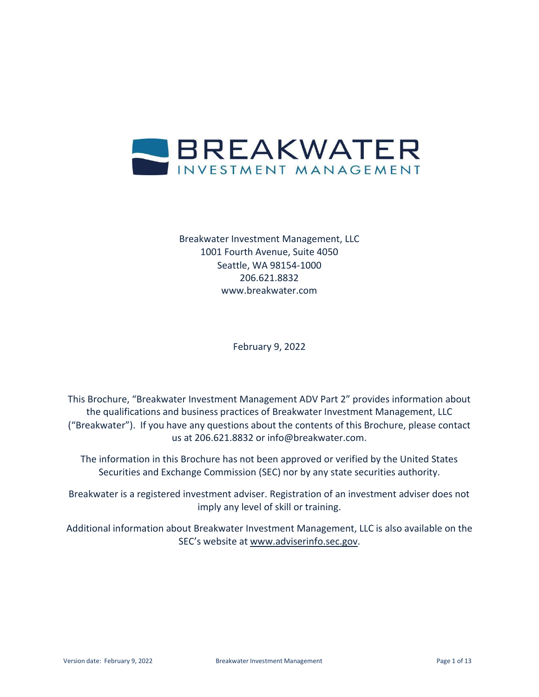

Breakwater Investment Management, LLC 1001 Fourth Avenue, Suite 4050 Seattle, WA 98154-1000 206.621.8832 [www.breakwater.com](http://www.breakwater.com/)

February 9, 2022

This Brochure, "Breakwater Investment Management ADV Part 2" provides information about the qualifications and business practices of Breakwater Investment Management, LLC ("Breakwater"). If you have any questions about the contents of this Brochure, please contact us at 206.621.8832 or [info@breakwater.com.](mailto:info@breakwater.com)

The information in this Brochure has not been approved or verified by the United States Securities and Exchange Commission (SEC) nor by any state securities authority.

Breakwater is a registered investment adviser. Registration of an investment adviser does not imply any level of skill or training.

Additional information about Breakwater Investment Management, LLC is also available on the SEC's website at [www.adviserinfo.sec.gov.](http://www.adviserinfo.sec.gov/)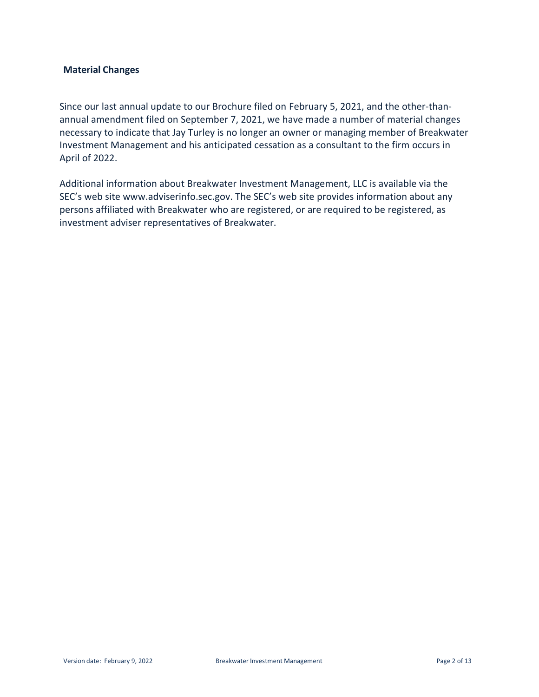#### <span id="page-1-0"></span>**Material Changes**

Since our last annual update to our Brochure filed on February 5, 2021, and the other-thanannual amendment filed on September 7, 2021, we have made a number of material changes necessary to indicate that Jay Turley is no longer an owner or managing member of Breakwater Investment Management and his anticipated cessation as a consultant to the firm occurs in April of 2022.

Additional information about Breakwater Investment Management, LLC is available via the SEC's web site [www.adviserinfo.sec.gov.](http://www.adviserinfo.sec.gov/) The SEC's web site provides information about any persons affiliated with Breakwater who are registered, or are required to be registered, as investment adviser representatives of Breakwater.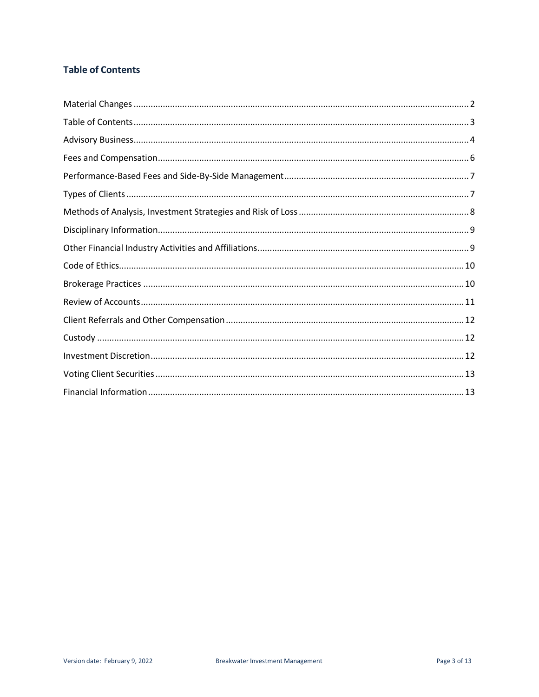# <span id="page-2-0"></span>**Table of Contents**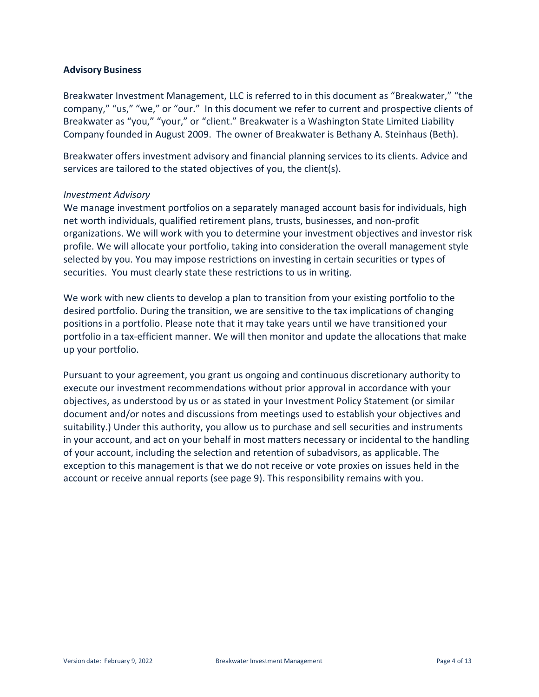#### <span id="page-3-0"></span>**Advisory Business**

Breakwater Investment Management, LLC is referred to in this document as "Breakwater," "the company," "us," "we," or "our." In this document we refer to current and prospective clients of Breakwater as "you," "your," or "client." Breakwater is a Washington State Limited Liability Company founded in August 2009. The owner of Breakwater is Bethany A. Steinhaus (Beth).

Breakwater offers investment advisory and financial planning services to its clients. Advice and services are tailored to the stated objectives of you, the client(s).

#### *Investment Advisory*

We manage investment portfolios on a separately managed account basis for individuals, high net worth individuals, qualified retirement plans, trusts, businesses, and non-profit organizations. We will work with you to determine your investment objectives and investor risk profile. We will allocate your portfolio, taking into consideration the overall management style selected by you. You may impose restrictions on investing in certain securities or types of securities. You must clearly state these restrictions to us in writing.

We work with new clients to develop a plan to transition from your existing portfolio to the desired portfolio. During the transition, we are sensitive to the tax implications of changing positions in a portfolio. Please note that it may take years until we have transitioned your portfolio in a tax-efficient manner. We will then monitor and update the allocations that make up your portfolio.

Pursuant to your agreement, you grant us ongoing and continuous discretionary authority to execute our investment recommendations without prior approval in accordance with your objectives, as understood by us or as stated in your Investment Policy Statement (or similar document and/or notes and discussions from meetings used to establish your objectives and suitability.) Under this authority, you allow us to purchase and sell securities and instruments in your account, and act on your behalf in most matters necessary or incidental to the handling of your account, including the selection and retention of subadvisors, as applicable. The exception to this management is that we do not receive or vote proxies on issues held in the account or receive annual reports (see page 9). This responsibility remains with you.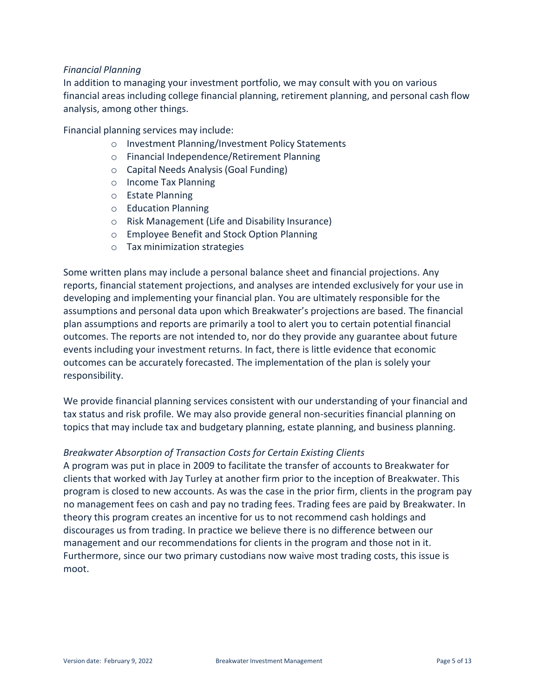#### *Financial Planning*

In addition to managing your investment portfolio, we may consult with you on various financial areas including college financial planning, retirement planning, and personal cash flow analysis, among other things.

Financial planning services may include:

- o Investment Planning/Investment Policy Statements
- o Financial Independence/Retirement Planning
- o Capital Needs Analysis (Goal Funding)
- o Income Tax Planning
- o Estate Planning
- o Education Planning
- o Risk Management (Life and Disability Insurance)
- o Employee Benefit and Stock Option Planning
- o Tax minimization strategies

Some written plans may include a personal balance sheet and financial projections. Any reports, financial statement projections, and analyses are intended exclusively for your use in developing and implementing your financial plan. You are ultimately responsible for the assumptions and personal data upon which Breakwater's projections are based. The financial plan assumptions and reports are primarily a tool to alert you to certain potential financial outcomes. The reports are not intended to, nor do they provide any guarantee about future events including your investment returns. In fact, there is little evidence that economic outcomes can be accurately forecasted. The implementation of the plan is solely your responsibility.

We provide financial planning services consistent with our understanding of your financial and tax status and risk profile. We may also provide general non-securities financial planning on topics that may include tax and budgetary planning, estate planning, and business planning.

#### *Breakwater Absorption of Transaction Costs for Certain Existing Clients*

A program was put in place in 2009 to facilitate the transfer of accounts to Breakwater for clients that worked with Jay Turley at another firm prior to the inception of Breakwater. This program is closed to new accounts. As was the case in the prior firm, clients in the program pay no management fees on cash and pay no trading fees. Trading fees are paid by Breakwater. In theory this program creates an incentive for us to not recommend cash holdings and discourages us from trading. In practice we believe there is no difference between our management and our recommendations for clients in the program and those not in it. Furthermore, since our two primary custodians now waive most trading costs, this issue is moot.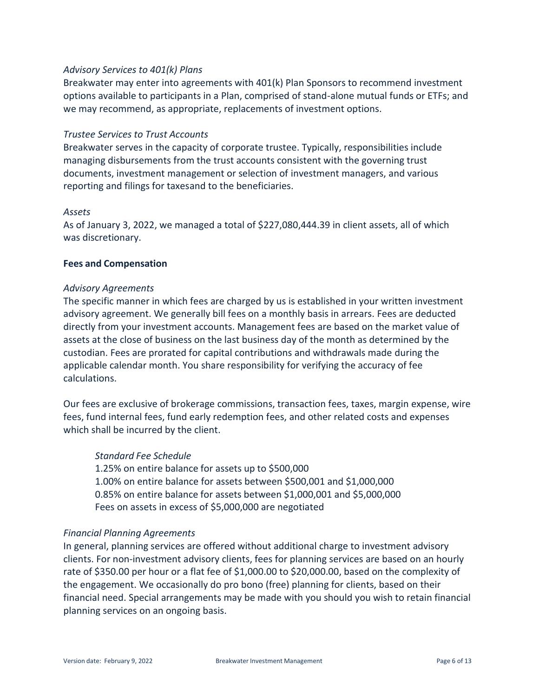# *Advisory Services to 401(k) Plans*

Breakwater may enter into agreements with 401(k) Plan Sponsors to recommend investment options available to participants in a Plan, comprised of stand-alone mutual funds or ETFs; and we may recommend, as appropriate, replacements of investment options.

#### *Trustee Services to Trust Accounts*

Breakwater serves in the capacity of corporate trustee. Typically, responsibilities include managing disbursements from the trust accounts consistent with the governing trust documents, investment management or selection of investment managers, and various reporting and filings for taxesand to the beneficiaries.

#### *Assets*

As of January 3, 2022, we managed a total of \$227,080,444.39 in client assets, all of which was discretionary.

#### <span id="page-5-0"></span>**Fees and Compensation**

#### *Advisory Agreements*

The specific manner in which fees are charged by us is established in your written investment advisory agreement. We generally bill fees on a monthly basis in arrears. Fees are deducted directly from your investment accounts. Management fees are based on the market value of assets at the close of business on the last business day of the month as determined by the custodian. Fees are prorated for capital contributions and withdrawals made during the applicable calendar month. You share responsibility for verifying the accuracy of fee calculations.

Our fees are exclusive of brokerage commissions, transaction fees, taxes, margin expense, wire fees, fund internal fees, fund early redemption fees, and other related costs and expenses which shall be incurred by the client.

#### *Standard Fee Schedule*

1.25% on entire balance for assets up to \$500,000 1.00% on entire balance for assets between \$500,001 and \$1,000,000 0.85% on entire balance for assets between \$1,000,001 and \$5,000,000 Fees on assets in excess of \$5,000,000 are negotiated

#### *Financial Planning Agreements*

In general, planning services are offered without additional charge to investment advisory clients. For non-investment advisory clients, fees for planning services are based on an hourly rate of \$350.00 per hour or a flat fee of \$1,000.00 to \$20,000.00, based on the complexity of the engagement. We occasionally do pro bono (free) planning for clients, based on their financial need. Special arrangements may be made with you should you wish to retain financial planning services on an ongoing basis.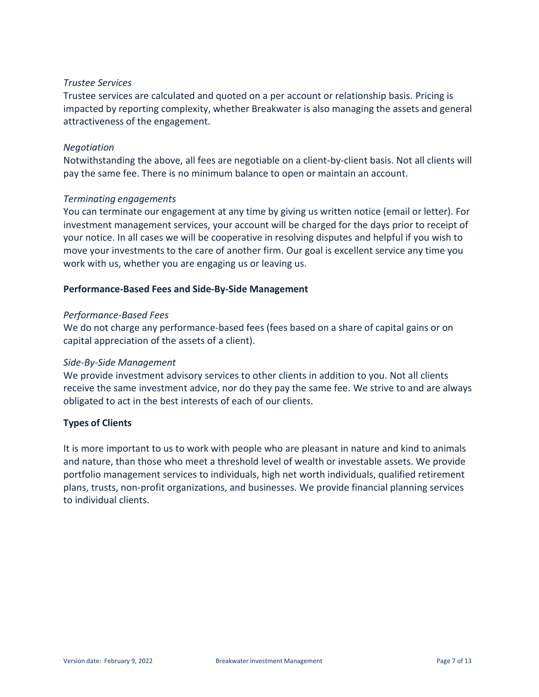#### *Trustee Services*

Trustee services are calculated and quoted on a per account or relationship basis. Pricing is impacted by reporting complexity, whether Breakwater is also managing the assets and general attractiveness of the engagement.

# *Negotiation*

Notwithstanding the above, all fees are negotiable on a client-by-client basis. Not all clients will pay the same fee. There is no minimum balance to open or maintain an account.

# *Terminating engagements*

You can terminate our engagement at any time by giving us written notice (email or letter). For investment management services, your account will be charged for the days prior to receipt of your notice. In all cases we will be cooperative in resolving disputes and helpful if you wish to move your investments to the care of another firm. Our goal is excellent service any time you work with us, whether you are engaging us or leaving us.

# <span id="page-6-0"></span>**Performance-Based Fees and Side-By-Side Management**

#### *Performance-Based Fees*

We do not charge any performance-based fees (fees based on a share of capital gains or on capital appreciation of the assets of a client).

#### *Side-By-Side Management*

We provide investment advisory services to other clients in addition to you. Not all clients receive the same investment advice, nor do they pay the same fee. We strive to and are always obligated to act in the best interests of each of our clients.

# <span id="page-6-1"></span>**Types of Clients**

It is more important to us to work with people who are pleasant in nature and kind to animals and nature, than those who meet a threshold level of wealth or investable assets. We provide portfolio management services to individuals, high net worth individuals, qualified retirement plans, trusts, non-profit organizations, and businesses. We provide financial planning services to individual clients.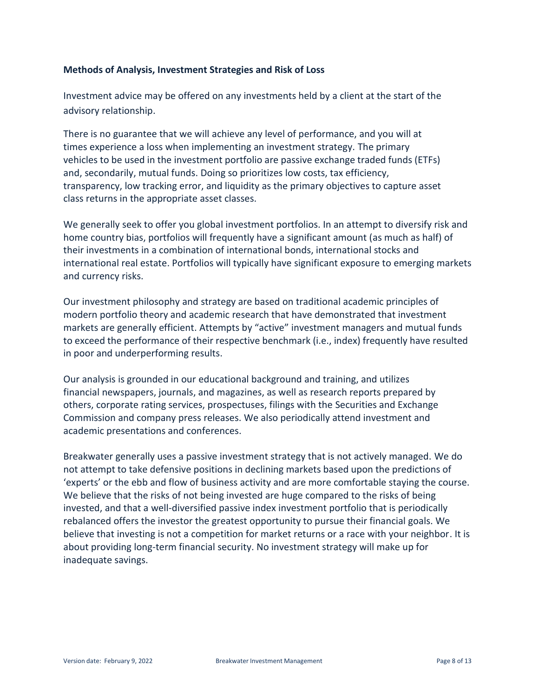#### <span id="page-7-0"></span>**Methods of Analysis, Investment Strategies and Risk of Loss**

Investment advice may be offered on any investments held by a client at the start of the advisory relationship.

There is no guarantee that we will achieve any level of performance, and you will at times experience a loss when implementing an investment strategy. The primary vehicles to be used in the investment portfolio are passive exchange traded funds (ETFs) and, secondarily, mutual funds. Doing so prioritizes low costs, tax efficiency, transparency, low tracking error, and liquidity as the primary objectives to capture asset class returns in the appropriate asset classes.

We generally seek to offer you global investment portfolios. In an attempt to diversify risk and home country bias, portfolios will frequently have a significant amount (as much as half) of their investments in a combination of international bonds, international stocks and international real estate. Portfolios will typically have significant exposure to emerging markets and currency risks.

Our investment philosophy and strategy are based on traditional academic principles of modern portfolio theory and academic research that have demonstrated that investment markets are generally efficient. Attempts by "active" investment managers and mutual funds to exceed the performance of their respective benchmark (i.e., index) frequently have resulted in poor and underperforming results.

Our analysis is grounded in our educational background and training, and utilizes financial newspapers, journals, and magazines, as well as research reports prepared by others, corporate rating services, prospectuses, filings with the Securities and Exchange Commission and company press releases. We also periodically attend investment and academic presentations and conferences.

Breakwater generally uses a passive investment strategy that is not actively managed. We do not attempt to take defensive positions in declining markets based upon the predictions of 'experts' or the ebb and flow of business activity and are more comfortable staying the course. We believe that the risks of not being invested are huge compared to the risks of being invested, and that a well-diversified passive index investment portfolio that is periodically rebalanced offers the investor the greatest opportunity to pursue their financial goals. We believe that investing is not a competition for market returns or a race with your neighbor. It is about providing long-term financial security. No investment strategy will make up for inadequate savings.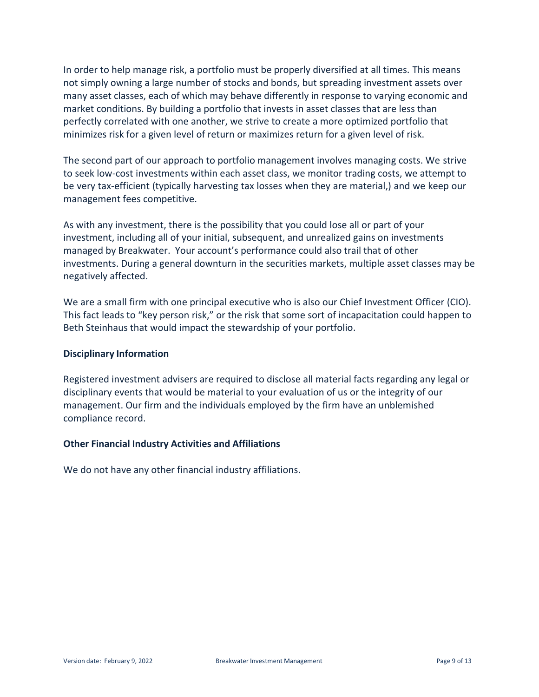<span id="page-8-2"></span>In order to help manage risk, a portfolio must be properly diversified at all times. This means not simply owning a large number of stocks and bonds, but spreading investment assets over many asset classes, each of which may behave differently in response to varying economic and market conditions. By building a portfolio that invests in asset classes that are less than perfectly correlated with one another, we strive to create a more optimized portfolio that minimizes risk for a given level of return or maximizes return for a given level of risk.

The second part of our approach to portfolio management involves managing costs. We strive to seek low-cost investments within each asset class, we monitor trading costs, we attempt to be very tax-efficient (typically harvesting tax losses when they are material,) and we keep our management fees competitive.

As with any investment, there is the possibility that you could lose all or part of your investment, including all of your initial, subsequent, and unrealized gains on investments managed by Breakwater. Your account's performance could also trail that of other investments. During a general downturn in the securities markets, multiple asset classes may be negatively affected.

We are a small firm with one principal executive who is also our Chief Investment Officer (CIO). This fact leads to "key person risk," or the risk that some sort of incapacitation could happen to Beth Steinhaus that would impact the stewardship of your portfolio.

#### <span id="page-8-0"></span>**Disciplinary Information**

Registered investment advisers are required to disclose all material facts regarding any legal or disciplinary events that would be material to your evaluation of us or the integrity of our management. Our firm and the individuals employed by the firm have an unblemished compliance record.

#### <span id="page-8-1"></span>**Other Financial Industry Activities and Affiliations**

We do not have any other financial industry affiliations.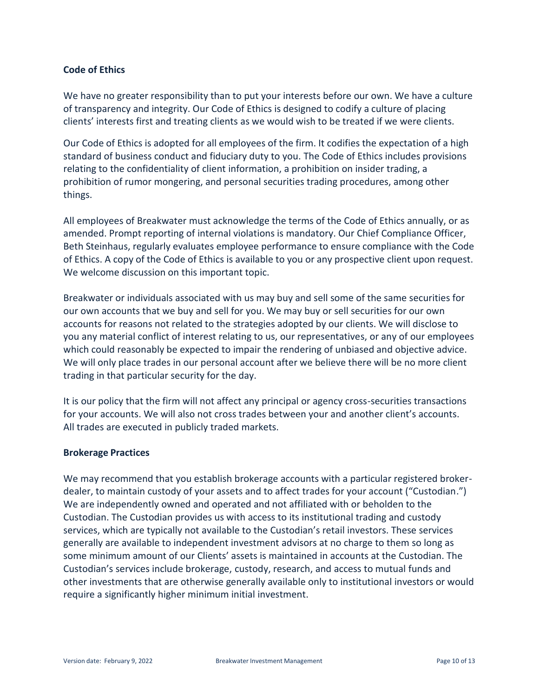# **Code of Ethics**

We have no greater responsibility than to put your interests before our own. We have a culture of transparency and integrity. Our Code of Ethics is designed to codify a culture of placing clients' interests first and treating clients as we would wish to be treated if we were clients.

Our Code of Ethics is adopted for all employees of the firm. It codifies the expectation of a high standard of business conduct and fiduciary duty to you. The Code of Ethics includes provisions relating to the confidentiality of client information, a prohibition on insider trading, a prohibition of rumor mongering, and personal securities trading procedures, among other things.

All employees of Breakwater must acknowledge the terms of the Code of Ethics annually, or as amended. Prompt reporting of internal violations is mandatory. Our Chief Compliance Officer, Beth Steinhaus, regularly evaluates employee performance to ensure compliance with the Code of Ethics. A copy of the Code of Ethics is available to you or any prospective client upon request. We welcome discussion on this important topic.

Breakwater or individuals associated with us may buy and sell some of the same securities for our own accounts that we buy and sell for you. We may buy or sell securities for our own accounts for reasons not related to the strategies adopted by our clients. We will disclose to you any material conflict of interest relating to us, our representatives, or any of our employees which could reasonably be expected to impair the rendering of unbiased and objective advice. We will only place trades in our personal account after we believe there will be no more client trading in that particular security for the day.

It is our policy that the firm will not affect any principal or agency cross-securities transactions for your accounts. We will also not cross trades between your and another client's accounts. All trades are executed in publicly traded markets.

#### <span id="page-9-0"></span>**Brokerage Practices**

We may recommend that you establish brokerage accounts with a particular registered brokerdealer, to maintain custody of your assets and to affect trades for your account ("Custodian.") We are independently owned and operated and not affiliated with or beholden to the Custodian. The Custodian provides us with access to its institutional trading and custody services, which are typically not available to the Custodian's retail investors. These services generally are available to independent investment advisors at no charge to them so long as some minimum amount of our Clients' assets is maintained in accounts at the Custodian. The Custodian's services include brokerage, custody, research, and access to mutual funds and other investments that are otherwise generally available only to institutional investors or would require a significantly higher minimum initial investment.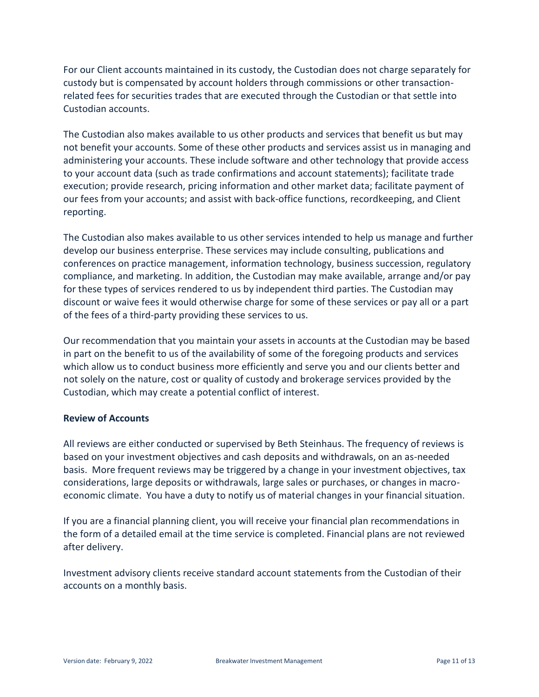<span id="page-10-1"></span>For our Client accounts maintained in its custody, the Custodian does not charge separately for custody but is compensated by account holders through commissions or other transactionrelated fees for securities trades that are executed through the Custodian or that settle into Custodian accounts.

The Custodian also makes available to us other products and services that benefit us but may not benefit your accounts. Some of these other products and services assist us in managing and administering your accounts. These include software and other technology that provide access to your account data (such as trade confirmations and account statements); facilitate trade execution; provide research, pricing information and other market data; facilitate payment of our fees from your accounts; and assist with back-office functions, recordkeeping, and Client reporting.

The Custodian also makes available to us other services intended to help us manage and further develop our business enterprise. These services may include consulting, publications and conferences on practice management, information technology, business succession, regulatory compliance, and marketing. In addition, the Custodian may make available, arrange and/or pay for these types of services rendered to us by independent third parties. The Custodian may discount or waive fees it would otherwise charge for some of these services or pay all or a part of the fees of a third-party providing these services to us.

Our recommendation that you maintain your assets in accounts at the Custodian may be based in part on the benefit to us of the availability of some of the foregoing products and services which allow us to conduct business more efficiently and serve you and our clients better and not solely on the nature, cost or quality of custody and brokerage services provided by the Custodian, which may create a potential conflict of interest.

#### <span id="page-10-0"></span>**Review of Accounts**

All reviews are either conducted or supervised by Beth Steinhaus. The frequency of reviews is based on your investment objectives and cash deposits and withdrawals, on an as-needed basis. More frequent reviews may be triggered by a change in your investment objectives, tax considerations, large deposits or withdrawals, large sales or purchases, or changes in macroeconomic climate. You have a duty to notify us of material changes in your financial situation.

If you are a financial planning client, you will receive your financial plan recommendations in the form of a detailed email at the time service is completed. Financial plans are not reviewed after delivery.

Investment advisory clients receive standard account statements from the Custodian of their accounts on a monthly basis.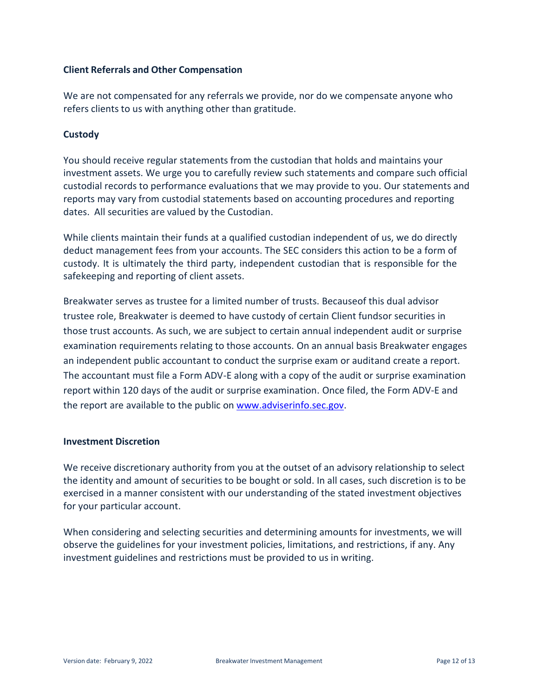# <span id="page-11-2"></span>**Client Referrals and Other Compensation**

<span id="page-11-0"></span>We are not compensated for any referrals we provide, nor do we compensate anyone who refers clients to us with anything other than gratitude.

# **Custody**

You should receive regular statements from the custodian that holds and maintains your investment assets. We urge you to carefully review such statements and compare such official custodial records to performance evaluations that we may provide to you. Our statements and reports may vary from custodial statements based on accounting procedures and reporting dates. All securities are valued by the Custodian.

While clients maintain their funds at a qualified custodian independent of us, we do directly deduct management fees from your accounts. The SEC considers this action to be a form of custody. It is ultimately the third party, independent custodian that is responsible for the safekeeping and reporting of client assets.

Breakwater serves as trustee for a limited number of trusts. Becauseof this dual advisor trustee role, Breakwater is deemed to have custody of certain Client fundsor securities in those trust accounts. As such, we are subject to certain annual independent audit or surprise examination requirements relating to those accounts. On an annual basis Breakwater engages an independent public accountant to conduct the surprise exam or auditand create a report. The accountant must file a Form ADV-E along with a copy of the audit or surprise examination report within 120 days of the audit or surprise examination. Once filed, the Form ADV-E and the report are available to the public o[n www.adviserinfo.sec.gov.](file:///C:/Users/jay/AppData/Local/Microsoft/Windows/INetCache/Content.Outlook/PGHWIHQ0/www.adviserinfo.sec.gov)

#### <span id="page-11-1"></span>**Investment Discretion**

We receive discretionary authority from you at the outset of an advisory relationship to select the identity and amount of securities to be bought or sold. In all cases, such discretion is to be exercised in a manner consistent with our understanding of the stated investment objectives for your particular account.

When considering and selecting securities and determining amounts for investments, we will observe the guidelines for your investment policies, limitations, and restrictions, if any. Any investment guidelines and restrictions must be provided to us in writing.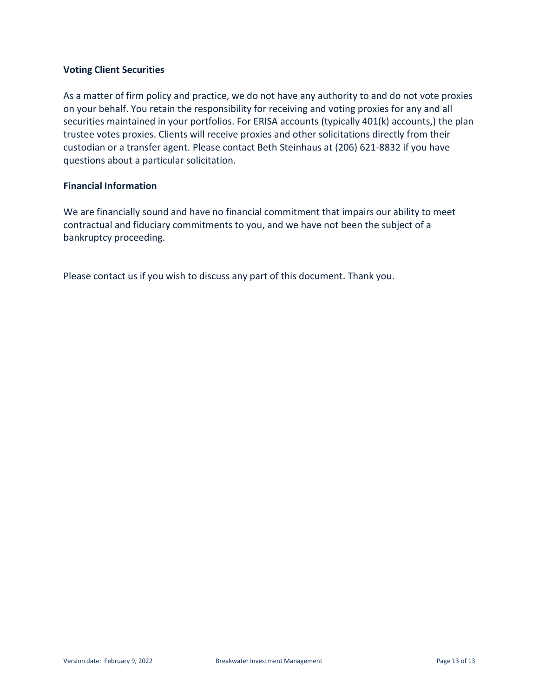# **Voting Client Securities**

As a matter of firm policy and practice, we do not have any authority to and do not vote proxies on your behalf. You retain the responsibility for receiving and voting proxies for any and all securities maintained in your portfolios. For ERISA accounts (typically 401(k) accounts,) the plan trustee votes proxies. Clients will receive proxies and other solicitations directly from their custodian or a transfer agent. Please contact Beth Steinhaus at (206) 621-8832 if you have questions about a particular solicitation.

#### <span id="page-12-0"></span>**Financial Information**

We are financially sound and have no financial commitment that impairs our ability to meet contractual and fiduciary commitments to you, and we have not been the subject of a bankruptcy proceeding.

Please contact us if you wish to discuss any part of this document. Thank you.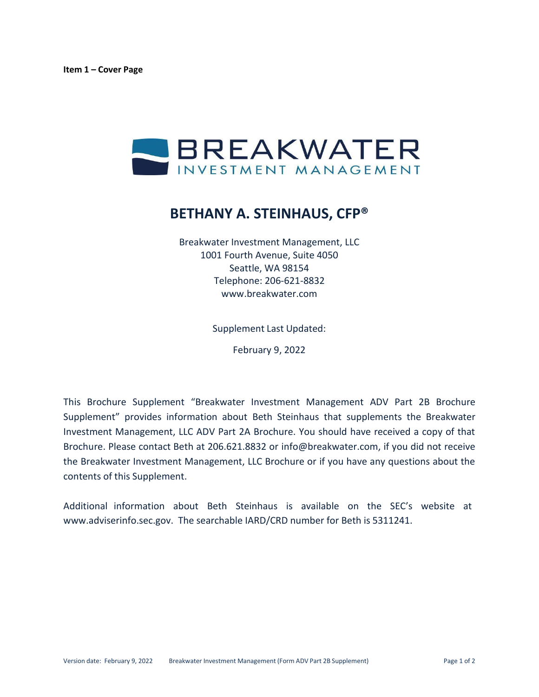

# **BETHANY A. STEINHAUS, CFP®**

Breakwater Investment Management, LLC 1001 Fourth Avenue, Suite 4050 Seattle, WA 98154 Telephone: 206-621-8832 [www.breakwater.com](http://www.breakwater.com/)

Supplement Last Updated:

February 9, 2022

This Brochure Supplement "Breakwater Investment Management ADV Part 2B Brochure Supplement" provides information about Beth Steinhaus that supplements the Breakwater Investment Management, LLC ADV Part 2A Brochure. You should have received a copy of that Brochure. Please contact Beth at 206.621.8832 or [info@breakwater.com, i](mailto:info@breakwater.com)f you did not receive the Breakwater Investment Management, LLC Brochure or if you have any questions about the contents of this Supplement.

Additional information about Beth Steinhaus is available on the SEC's website at [www.adviserinfo.sec.gov.](http://www.adviserinfo.sec.gov/) The searchable IARD/CRD number for Beth is 5311241.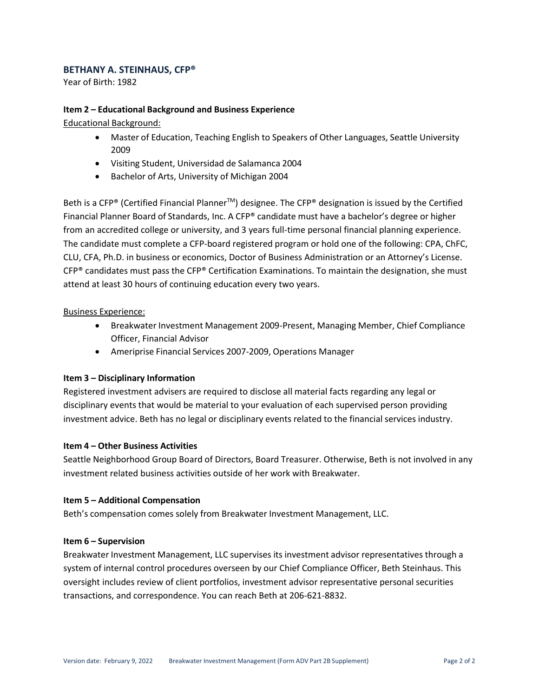#### **BETHANY A. STEINHAUS, CFP®**

Year of Birth: 1982

#### **Item 2 – Educational Background and Business Experience**

Educational Background:

- Master of Education, Teaching English to Speakers of Other Languages, Seattle University 2009
- Visiting Student, Universidad de Salamanca 2004
- Bachelor of Arts, University of Michigan 2004

Beth is a CFP® (Certified Financial Planner<sup>™</sup>) designee. The CFP® designation is issued by the Certified Financial Planner Board of Standards, Inc. A CFP® candidate must have a bachelor's degree or higher from an accredited college or university, and 3 years full-time personal financial planning experience. The candidate must complete a CFP-board registered program or hold one of the following: CPA, ChFC, CLU, CFA, Ph.D. in business or economics, Doctor of Business Administration or an Attorney's License. CFP® candidates must pass the CFP® Certification Examinations. To maintain the designation, she must attend at least 30 hours of continuing education every two years.

#### Business Experience:

- Breakwater Investment Management 2009-Present, Managing Member, Chief Compliance Officer, Financial Advisor
- Ameriprise Financial Services 2007-2009, Operations Manager

#### **Item 3 – Disciplinary Information**

Registered investment advisers are required to disclose all material facts regarding any legal or disciplinary events that would be material to your evaluation of each supervised person providing investment advice. Beth has no legal or disciplinary events related to the financial services industry.

#### **Item 4 – Other Business Activities**

Seattle Neighborhood Group Board of Directors, Board Treasurer. Otherwise, Beth is not involved in any investment related business activities outside of her work with Breakwater.

#### **Item 5 – Additional Compensation**

Beth's compensation comes solely from Breakwater Investment Management, LLC.

#### **Item 6 – Supervision**

Breakwater Investment Management, LLC supervises its investment advisor representatives through a system of internal control procedures overseen by our Chief Compliance Officer, Beth Steinhaus. This oversight includes review of client portfolios, investment advisor representative personal securities transactions, and correspondence. You can reach Beth at 206-621-8832.